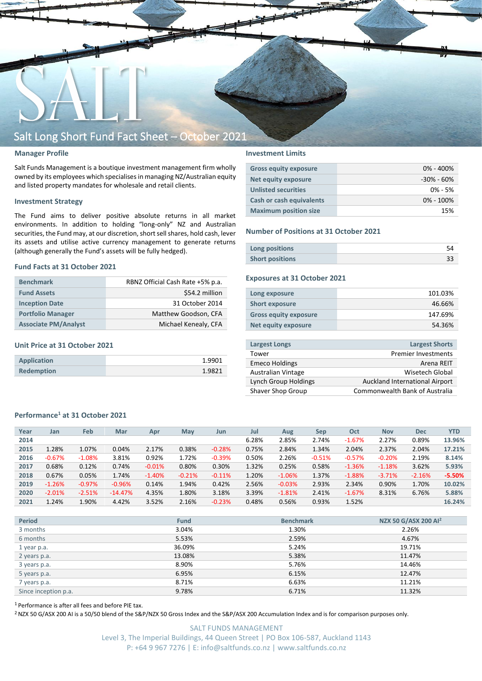

#### **Manager Profile**

Salt Funds Management is a boutique investment management firm wholly owned by its employees which specialisesin managing NZ/Australian equity and listed property mandates for wholesale and retail clients.

#### **Investment Strategy**

The Fund aims to deliver positive absolute returns in all market environments. In addition to holding "long-only" NZ and Australian securities, the Fund may, at our discretion, short sell shares, hold cash, lever its assets and utilise active currency management to generate returns (although generally the Fund's assets will be fully hedged).

#### **Fund Facts at 31 October 2021**

| <b>Benchmark</b>            | RBNZ Official Cash Rate +5% p.a. |
|-----------------------------|----------------------------------|
| <b>Fund Assets</b>          | \$54.2 million                   |
| <b>Inception Date</b>       | 31 October 2014                  |
| <b>Portfolio Manager</b>    | Matthew Goodson, CFA             |
| <b>Associate PM/Analyst</b> | Michael Kenealy, CFA             |

#### **Unit Price at 31 October 2021**

| Application       | 1.9901 |
|-------------------|--------|
| <b>Redemption</b> | 1.9821 |

#### **Investment Limits**

| <b>Gross equity exposure</b> | $0\% - 400\%$  |
|------------------------------|----------------|
| <b>Net equity exposure</b>   | $-30\% - 60\%$ |
| <b>Unlisted securities</b>   | $0\% - 5\%$    |
| Cash or cash equivalents     | $0\% - 100\%$  |
| <b>Maximum position size</b> | 15%            |

#### **Number of Positions at 31 October 2021**

| Long positions         |  |
|------------------------|--|
| <b>Short positions</b> |  |

#### **Exposures at 31 October 2021**

| Long exposure                | 101.03% |
|------------------------------|---------|
| <b>Short exposure</b>        | 46.66%  |
| <b>Gross equity exposure</b> | 147.69% |
| Net equity exposure          | 54.36%  |
|                              |         |

| <b>Largest Longs</b>      | <b>Largest Shorts</b>          |
|---------------------------|--------------------------------|
| Tower                     | <b>Premier Investments</b>     |
| <b>Emeco Holdings</b>     | Arena REIT                     |
| <b>Australian Vintage</b> | Wisetech Global                |
| Lynch Group Holdings      | Auckland International Airport |
| Shaver Shop Group         | Commonwealth Bank of Australia |
|                           |                                |

#### **Performance<sup>1</sup> at 31 October 2021**

| Feb<br>Jul<br>Oct<br><b>YTD</b><br>Year<br>Mar<br>May<br>Aug<br><b>Nov</b><br><b>Dec</b><br>Jan<br><b>Sep</b><br>Apr<br>Jun<br>6.28%<br>2.85%<br>2.74%<br>2.27%<br>0.89%<br>13.96%<br>2014<br>$-1.67%$<br>1.28%<br>1.07%<br>0.04%<br>0.38%<br>0.75%<br>2.84%<br>1.34%<br>2.04%<br>2.37%<br>2.04%<br>17.21%<br>2015<br>2.17%<br>$-0.28%$<br>0.92%<br>$-0.67%$<br>3.81%<br>1.72%<br>0.50%<br>2.26%<br>2.19%<br>$-1.08%$<br>$-0.39%$<br>$-0.57%$<br>$-0.20%$<br>2016<br>$-0.51%$<br>8.14%<br>0.68%<br>0.12%<br>0.30%<br>1.32%<br>0.25%<br>3.62%<br>0.74%<br>0.80%<br>0.58%<br>5.93%<br>$-0.01%$<br>$-1.36%$<br>2017<br>$-1.18%$<br>0.67%<br>0.05%<br>1.74%<br>1.20%<br>1.37%<br>$-1.06%$<br>$-1.88%$<br>$-2.16%$<br>$-5.50%$<br>2018<br>$-1.40%$<br>$-0.21%$<br>$-0.11%$<br>$-3.71%$ |      |          |          |          |       |       |       |       |          |       |       |       |       |        |
|-----------------------------------------------------------------------------------------------------------------------------------------------------------------------------------------------------------------------------------------------------------------------------------------------------------------------------------------------------------------------------------------------------------------------------------------------------------------------------------------------------------------------------------------------------------------------------------------------------------------------------------------------------------------------------------------------------------------------------------------------------------------------------------|------|----------|----------|----------|-------|-------|-------|-------|----------|-------|-------|-------|-------|--------|
|                                                                                                                                                                                                                                                                                                                                                                                                                                                                                                                                                                                                                                                                                                                                                                                   |      |          |          |          |       |       |       |       |          |       |       |       |       |        |
|                                                                                                                                                                                                                                                                                                                                                                                                                                                                                                                                                                                                                                                                                                                                                                                   |      |          |          |          |       |       |       |       |          |       |       |       |       |        |
|                                                                                                                                                                                                                                                                                                                                                                                                                                                                                                                                                                                                                                                                                                                                                                                   |      |          |          |          |       |       |       |       |          |       |       |       |       |        |
|                                                                                                                                                                                                                                                                                                                                                                                                                                                                                                                                                                                                                                                                                                                                                                                   |      |          |          |          |       |       |       |       |          |       |       |       |       |        |
|                                                                                                                                                                                                                                                                                                                                                                                                                                                                                                                                                                                                                                                                                                                                                                                   |      |          |          |          |       |       |       |       |          |       |       |       |       |        |
|                                                                                                                                                                                                                                                                                                                                                                                                                                                                                                                                                                                                                                                                                                                                                                                   |      |          |          |          |       |       |       |       |          |       |       |       |       |        |
|                                                                                                                                                                                                                                                                                                                                                                                                                                                                                                                                                                                                                                                                                                                                                                                   | 2019 | $-1.26%$ | $-0.97%$ | $-0.96%$ | 0.14% | 1.94% | 0.42% | 2.56% | $-0.03%$ | 2.93% | 2.34% | 0.90% | 1.70% | 10.02% |
| 3.39%<br>4.35%<br>1.80%<br>3.18%<br>8.31%<br>2020<br>$-2.51%$<br>2.41%<br>$-1.67%$<br>6.76%<br>5.88%<br>$-2.01%$<br>$-14.47%$<br>$-1.81%$                                                                                                                                                                                                                                                                                                                                                                                                                                                                                                                                                                                                                                         |      |          |          |          |       |       |       |       |          |       |       |       |       |        |
| 1.90%<br>3.52%<br>0.93%<br>1.24%<br>4.42%<br>2.16%<br>$-0.23%$<br>0.48%<br>0.56%<br>1.52%<br>16.24%<br>2021                                                                                                                                                                                                                                                                                                                                                                                                                                                                                                                                                                                                                                                                       |      |          |          |          |       |       |       |       |          |       |       |       |       |        |

| <b>Period</b>        | <b>Fund</b> | <b>Benchmark</b> | NZX 50 G/ASX 200 AI <sup>2</sup> |
|----------------------|-------------|------------------|----------------------------------|
| 3 months             | 3.04%       | 1.30%            | 2.26%                            |
| 6 months             | 5.53%       | 2.59%            | 4.67%                            |
| 1 year p.a.          | 36.09%      | 5.24%            | 19.71%                           |
| 2 years p.a.         | 13.08%      | 5.38%            | 11.47%                           |
| 3 years p.a.         | 8.90%       | 5.76%            | 14.46%                           |
| 5 years p.a.         | 6.95%       | 6.15%            | 12.47%                           |
| 7 years p.a.         | 8.71%       | 6.63%            | 11.21%                           |
| Since inception p.a. | 9.78%       | 6.71%            | 11.32%                           |

<sup>1</sup> Performance is after all fees and before PIE tax.

<sup>2</sup> NZX 50 G/ASX 200 AI is a 50/50 blend of the S&P/NZX 50 Gross Index and the S&P/ASX 200 Accumulation Index and is for comparison purposes only.

SALT FUNDS MANAGEMENT Level 3, The Imperial Buildings, 44 Queen Street | PO Box 106-587, Auckland 1143 P: +64 9 967 7276 | E: info@saltfunds.co.nz | www.saltfunds.co.nz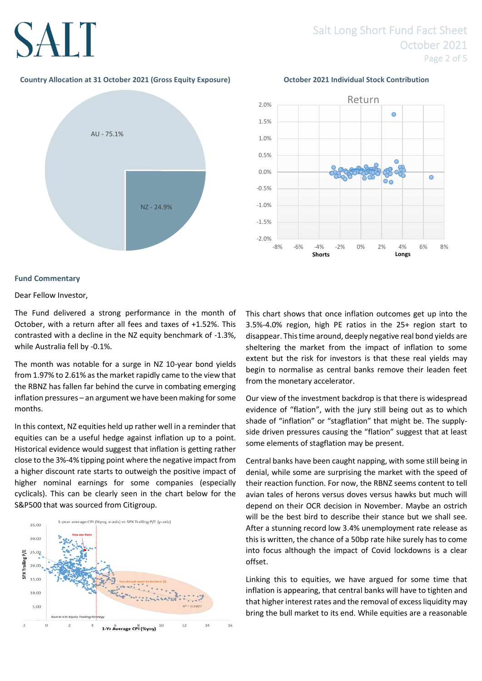## SALT

## Salt Long Short Fund Fact Sheet October 2021 Page 2 of 5

#### **Country Allocation at 31 October 2021 (Gross Equity Exposure) October 2021 Individual Stock Contribution**

![](_page_1_Figure_3.jpeg)

![](_page_1_Figure_4.jpeg)

![](_page_1_Figure_5.jpeg)

#### **Fund Commentary**

Dear Fellow Investor,

The Fund delivered a strong performance in the month of October, with a return after all fees and taxes of +1.52%. This contrasted with a decline in the NZ equity benchmark of -1.3%, while Australia fell by -0.1%.

The month was notable for a surge in NZ 10-year bond yields from 1.97% to 2.61% as the market rapidly came to the view that the RBNZ has fallen far behind the curve in combating emerging inflation pressures – an argument we have been making for some months.

In this context, NZ equities held up rather well in a reminder that equities can be a useful hedge against inflation up to a point. Historical evidence would suggest that inflation is getting rather close to the 3%-4% tipping point where the negative impact from a higher discount rate starts to outweigh the positive impact of higher nominal earnings for some companies (especially cyclicals). This can be clearly seen in the chart below for the S&P500 that was sourced from Citigroup.

![](_page_1_Figure_11.jpeg)

This chart shows that once inflation outcomes get up into the 3.5%-4.0% region, high PE ratios in the 25+ region start to disappear. This time around, deeply negative real bond yields are sheltering the market from the impact of inflation to some extent but the risk for investors is that these real yields may begin to normalise as central banks remove their leaden feet from the monetary accelerator.

Our view of the investment backdrop is that there is widespread evidence of "flation", with the jury still being out as to which shade of "inflation" or "stagflation" that might be. The supplyside driven pressures causing the "flation" suggest that at least some elements of stagflation may be present.

Central banks have been caught napping, with some still being in denial, while some are surprising the market with the speed of their reaction function. For now, the RBNZ seems content to tell avian tales of herons versus doves versus hawks but much will depend on their OCR decision in November. Maybe an ostrich will be the best bird to describe their stance but we shall see. After a stunning record low 3.4% unemployment rate release as this is written, the chance of a 50bp rate hike surely has to come into focus although the impact of Covid lockdowns is a clear offset.

Linking this to equities, we have argued for some time that inflation is appearing, that central banks will have to tighten and that higher interest rates and the removal of excess liquidity may bring the bull market to its end. While equities are a reasonable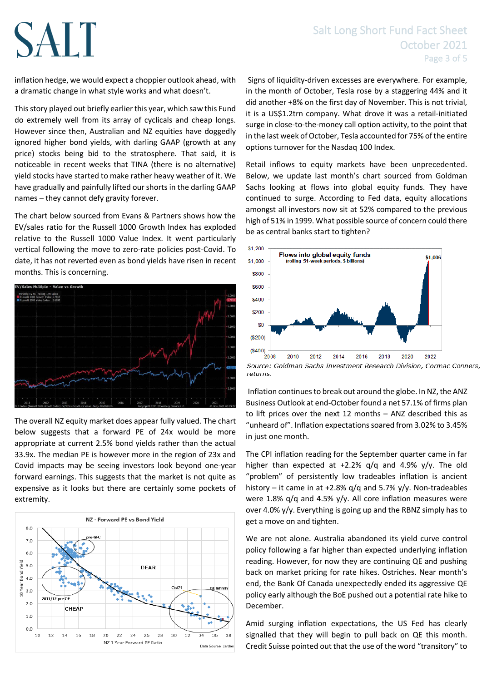### Salt Long Short Fund Fact Sheet October 2021 Page 3 of 5

inflation hedge, we would expect a choppier outlook ahead, with a dramatic change in what style works and what doesn't.

SALT

This story played out briefly earlier this year, which saw this Fund do extremely well from its array of cyclicals and cheap longs. However since then, Australian and NZ equities have doggedly ignored higher bond yields, with darling GAAP (growth at any price) stocks being bid to the stratosphere. That said, it is noticeable in recent weeks that TINA (there is no alternative) yield stocks have started to make rather heavy weather of it. We have gradually and painfully lifted our shorts in the darling GAAP names – they cannot defy gravity forever.

The chart below sourced from Evans & Partners shows how the EV/sales ratio for the Russell 1000 Growth Index has exploded relative to the Russell 1000 Value Index. It went particularly vertical following the move to zero-rate policies post-Covid. To date, it has not reverted even as bond yields have risen in recent months. This is concerning.

![](_page_2_Figure_4.jpeg)

The overall NZ equity market does appear fully valued. The chart below suggests that a forward PE of 24x would be more appropriate at current 2.5% bond yields rather than the actual 33.9x. The median PE is however more in the region of 23x and Covid impacts may be seeing investors look beyond one-year forward earnings. This suggests that the market is not quite as expensive as it looks but there are certainly some pockets of extremity.

![](_page_2_Figure_6.jpeg)

Signs of liquidity-driven excesses are everywhere. For example, in the month of October, Tesla rose by a staggering 44% and it did another +8% on the first day of November. This is not trivial, it is a US\$1.2trn company. What drove it was a retail-initiated surge in close-to-the-money call option activity, to the point that in the last week of October, Tesla accounted for 75% of the entire options turnover for the Nasdaq 100 Index.

Retail inflows to equity markets have been unprecedented. Below, we update last month's chart sourced from Goldman Sachs looking at flows into global equity funds. They have continued to surge. According to Fed data, equity allocations amongst all investors now sit at 52% compared to the previous high of 51% in 1999. What possible source of concern could there be as central banks start to tighten?

![](_page_2_Figure_9.jpeg)

Source: Goldman Sachs Investment Research Division, Cormac Conners, returns.

Inflation continues to break out around the globe. In NZ, the ANZ Business Outlook at end-October found a net 57.1% of firms plan to lift prices over the next 12 months – ANZ described this as "unheard of". Inflation expectations soared from 3.02% to 3.45% in just one month.

The CPI inflation reading for the September quarter came in far higher than expected at +2.2% q/q and 4.9% y/y. The old "problem" of persistently low tradeables inflation is ancient history – it came in at +2.8% q/q and 5.7% y/y. Non-tradeables were 1.8% q/q and 4.5% y/y. All core inflation measures were over 4.0% y/y. Everything is going up and the RBNZ simply has to get a move on and tighten.

We are not alone. Australia abandoned its yield curve control policy following a far higher than expected underlying inflation reading. However, for now they are continuing QE and pushing back on market pricing for rate hikes. Ostriches. Near month's end, the Bank Of Canada unexpectedly ended its aggressive QE policy early although the BoE pushed out a potential rate hike to December.

Amid surging inflation expectations, the US Fed has clearly signalled that they will begin to pull back on QE this month. Credit Suisse pointed out that the use of the word "transitory" to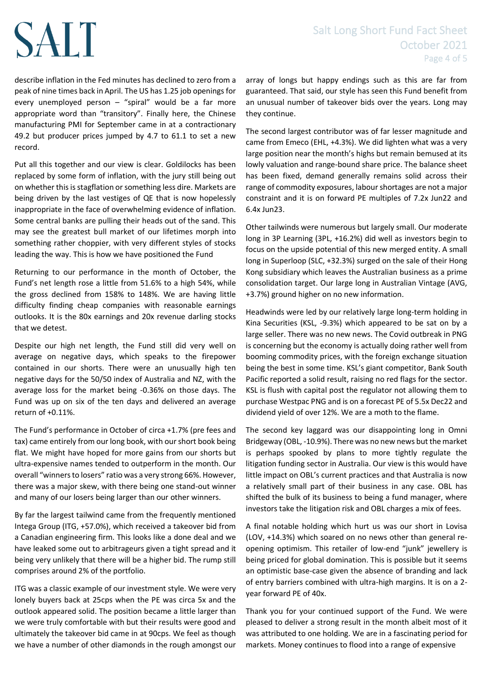# SALT

describe inflation in the Fed minutes has declined to zero from a peak of nine times back in April. The US has 1.25 job openings for every unemployed person – "spiral" would be a far more appropriate word than "transitory". Finally here, the Chinese manufacturing PMI for September came in at a contractionary 49.2 but producer prices jumped by 4.7 to 61.1 to set a new record.

Put all this together and our view is clear. Goldilocks has been replaced by some form of inflation, with the jury still being out on whether this is stagflation or something less dire. Markets are being driven by the last vestiges of QE that is now hopelessly inappropriate in the face of overwhelming evidence of inflation. Some central banks are pulling their heads out of the sand. This may see the greatest bull market of our lifetimes morph into something rather choppier, with very different styles of stocks leading the way. This is how we have positioned the Fund

Returning to our performance in the month of October, the Fund's net length rose a little from 51.6% to a high 54%, while the gross declined from 158% to 148%. We are having little difficulty finding cheap companies with reasonable earnings outlooks. It is the 80x earnings and 20x revenue darling stocks that we detest.

Despite our high net length, the Fund still did very well on average on negative days, which speaks to the firepower contained in our shorts. There were an unusually high ten negative days for the 50/50 index of Australia and NZ, with the average loss for the market being -0.36% on those days. The Fund was up on six of the ten days and delivered an average return of +0.11%.

The Fund's performance in October of circa +1.7% (pre fees and tax) came entirely from our long book, with our short book being flat. We might have hoped for more gains from our shorts but ultra-expensive names tended to outperform in the month. Our overall "winners to losers" ratio was a very strong 66%. However, there was a major skew, with there being one stand-out winner and many of our losers being larger than our other winners.

By far the largest tailwind came from the frequently mentioned Intega Group (ITG, +57.0%), which received a takeover bid from a Canadian engineering firm. This looks like a done deal and we have leaked some out to arbitrageurs given a tight spread and it being very unlikely that there will be a higher bid. The rump still comprises around 2% of the portfolio.

ITG was a classic example of our investment style. We were very lonely buyers back at 25cps when the PE was circa 5x and the outlook appeared solid. The position became a little larger than we were truly comfortable with but their results were good and ultimately the takeover bid came in at 90cps. We feel as though we have a number of other diamonds in the rough amongst our array of longs but happy endings such as this are far from guaranteed. That said, our style has seen this Fund benefit from an unusual number of takeover bids over the years. Long may they continue.

The second largest contributor was of far lesser magnitude and came from Emeco (EHL, +4.3%). We did lighten what was a very large position near the month's highs but remain bemused at its lowly valuation and range-bound share price. The balance sheet has been fixed, demand generally remains solid across their range of commodity exposures, labour shortages are not a major constraint and it is on forward PE multiples of 7.2x Jun22 and 6.4x Jun23.

Other tailwinds were numerous but largely small. Our moderate long in 3P Learning (3PL, +16.2%) did well as investors begin to focus on the upside potential of this new merged entity. A small long in Superloop (SLC, +32.3%) surged on the sale of their Hong Kong subsidiary which leaves the Australian business as a prime consolidation target. Our large long in Australian Vintage (AVG, +3.7%) ground higher on no new information.

Headwinds were led by our relatively large long-term holding in Kina Securities (KSL, -9.3%) which appeared to be sat on by a large seller. There was no new news. The Covid outbreak in PNG is concerning but the economy is actually doing rather well from booming commodity prices, with the foreign exchange situation being the best in some time. KSL's giant competitor, Bank South Pacific reported a solid result, raising no red flags for the sector. KSL is flush with capital post the regulator not allowing them to purchase Westpac PNG and is on a forecast PE of 5.5x Dec22 and dividend yield of over 12%. We are a moth to the flame.

The second key laggard was our disappointing long in Omni Bridgeway (OBL, -10.9%). There was no new news but the market is perhaps spooked by plans to more tightly regulate the litigation funding sector in Australia. Our view is this would have little impact on OBL's current practices and that Australia is now a relatively small part of their business in any case. OBL has shifted the bulk of its business to being a fund manager, where investors take the litigation risk and OBL charges a mix of fees.

A final notable holding which hurt us was our short in Lovisa (LOV, +14.3%) which soared on no news other than general reopening optimism. This retailer of low-end "junk" jewellery is being priced for global domination. This is possible but it seems an optimistic base-case given the absence of branding and lack of entry barriers combined with ultra-high margins. It is on a 2 year forward PE of 40x.

Thank you for your continued support of the Fund. We were pleased to deliver a strong result in the month albeit most of it was attributed to one holding. We are in a fascinating period for markets. Money continues to flood into a range of expensive